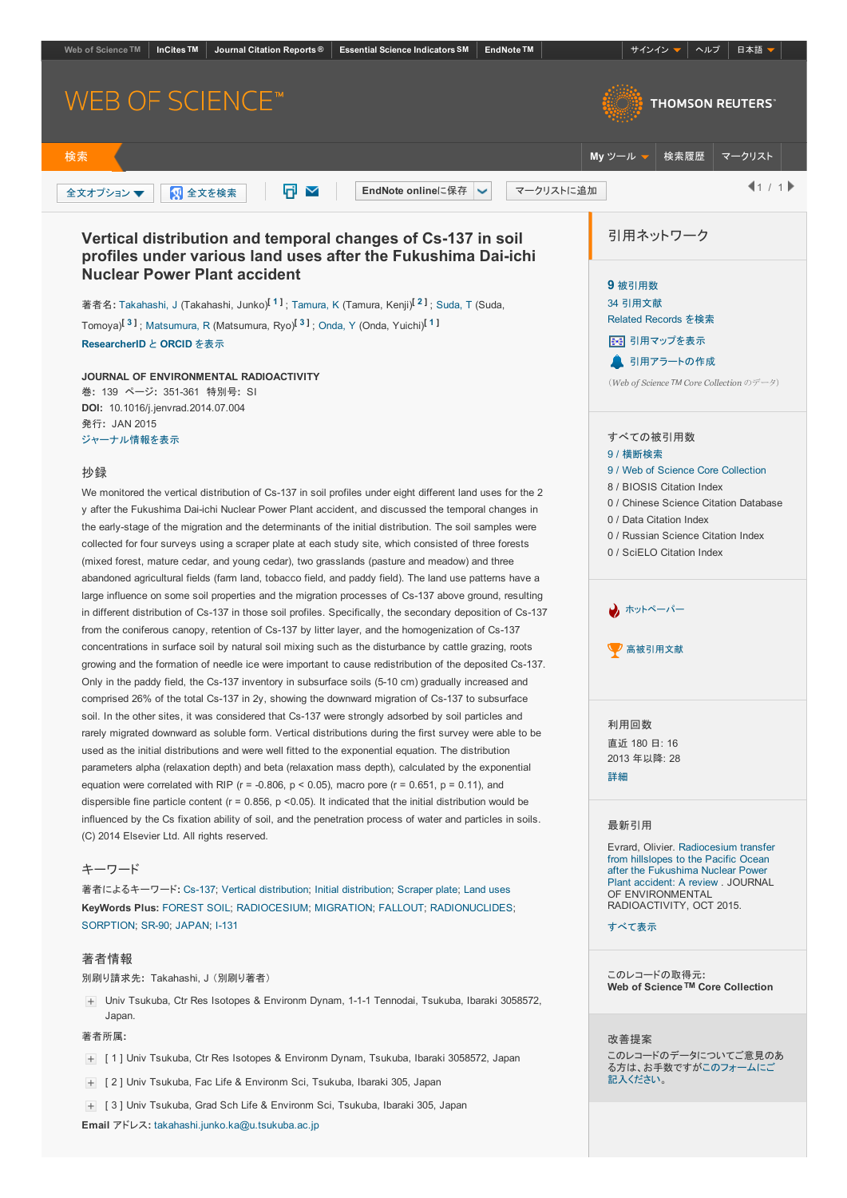<span id="page-0-2"></span><span id="page-0-1"></span><span id="page-0-0"></span>